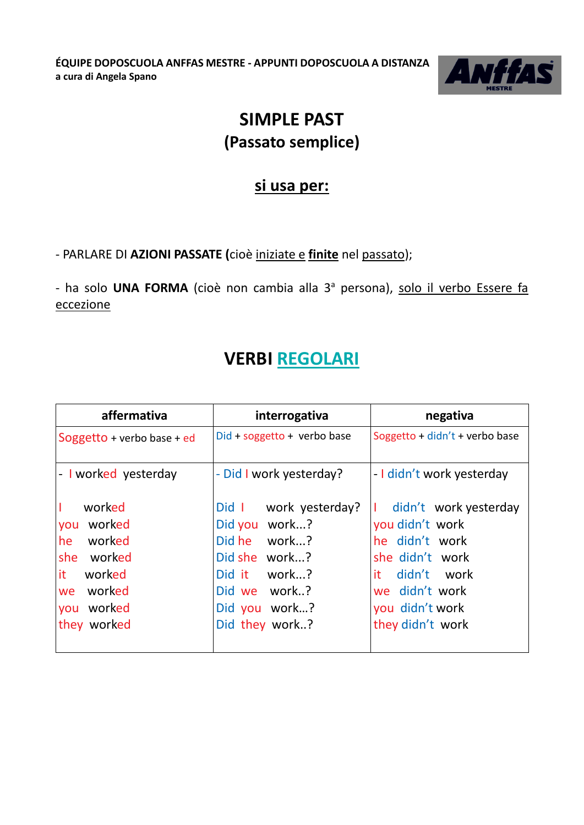**ÉQUIPE DOPOSCUOLA ANFFAS MESTRE - APPUNTI DOPOSCUOLA A DISTANZA a cura di Angela Spano**



## **SIMPLE PAST (Passato semplice)**

#### **si usa per:**

- PARLARE DI **AZIONI PASSATE (**cioè iniziate e **finite** nel passato);

- ha solo **UNA FORMA** (cioè non cambia alla 3<sup>ª</sup> persona), solo il verbo Essere fa eccezione

### **VERBI REGOLARI**

| affermativa                | interrogativa                 | negativa                       |
|----------------------------|-------------------------------|--------------------------------|
| Soggetto + verbo base + ed | $Did + soggetto + verbo base$ | Soggetto + didn't + verbo base |
| - I worked yesterday       | - Did I work yesterday?       | - I didn't work yesterday      |
| worked                     | Did 1<br>work yesterday?      | didn't work yesterday          |
| worked<br>you              | Did you work?                 | you didn't work                |
| he<br>worked               | Did he work?                  | he didn't work                 |
| she worked                 | Did she work?                 | she didn't work                |
| it.<br>worked              | Did it work?                  | it didn't work                 |
| worked<br>we               | Did we work?                  | we didn't work                 |
| worked<br>you              | Did you work?                 | you didn't work                |
| they worked                | Did they work?                | they didn't work               |